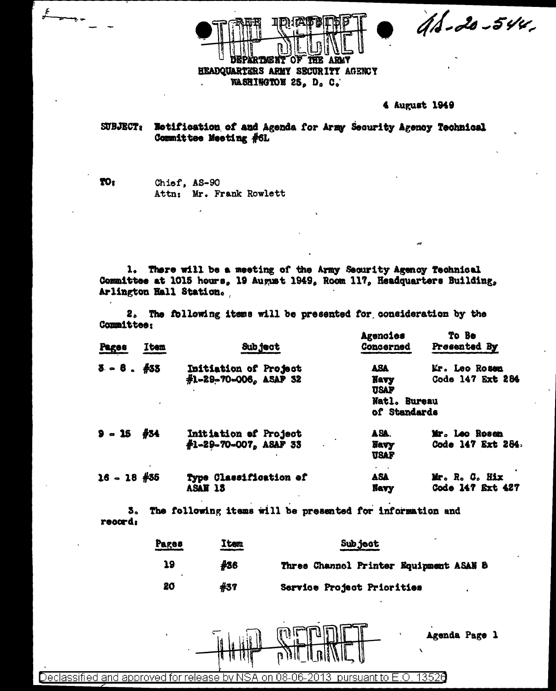$46 - 20 - 544$ 

**TME N'T THE ARMY** ΟF HEADQUARTERS ARMY SECURITY AGENCY WASHINGTON 25. D. C.

#### 4 August 1949

SUBJECT: Notification of and Agenda for Army Security Agency Technical Committee Meeting #6L

TO<sub>2</sub> Chief, AS-90 Attn: Mr. Frank Rowlett

1. There will be a meeting of the Army Security Agency Technical Committee at 1015 hours, 19 August 1949, Room 117, Headquarters Building, Arlington Hall Station.

2. The following items will be presented for consideration by the Committee:

| <b>Pages</b>  | Item | Sub ject                                              | Agenoies<br>Concerned                                                                                  | To Be<br>Presented By              |
|---------------|------|-------------------------------------------------------|--------------------------------------------------------------------------------------------------------|------------------------------------|
| $3 - 6.433$   |      | Initiation of Project<br>$#1 - 29 - 70 - 006$ ASAF 32 | ASA<br><b>Mr.</b> Leo Rosen<br>Code 147 Ext 284<br>Navy<br><b>USAF</b><br>Natl. Bureau<br>of Standards |                                    |
| $9 - 15$ #34  |      | Initiation of Project<br>#1-29-70-007, ASAF 33        | ASA.<br><b>Havy</b><br><b>USAF</b>                                                                     | Mr. Leo Rosen<br>Code 147 Ext 284. |
| $16 - 18$ #35 |      | Type Classification of<br>ASAN 13                     | <b>ASA</b><br><b>Navy</b>                                                                              | Mr. R. C. Hix<br>Code 147 Ext 427  |

5. The following items will be presented for information and record:

| Pages | Item | <b>Subject</b>                         |  |  |
|-------|------|----------------------------------------|--|--|
| 39    | #36  | Three Channel Printer Equipment ASAN 8 |  |  |
| 20    | #37  | Service Project Priorities             |  |  |

Agenda Page 1

**TA BA** 

Declassified and approved for release by NSA on 08-06-2013 pursuant to E.O. 13526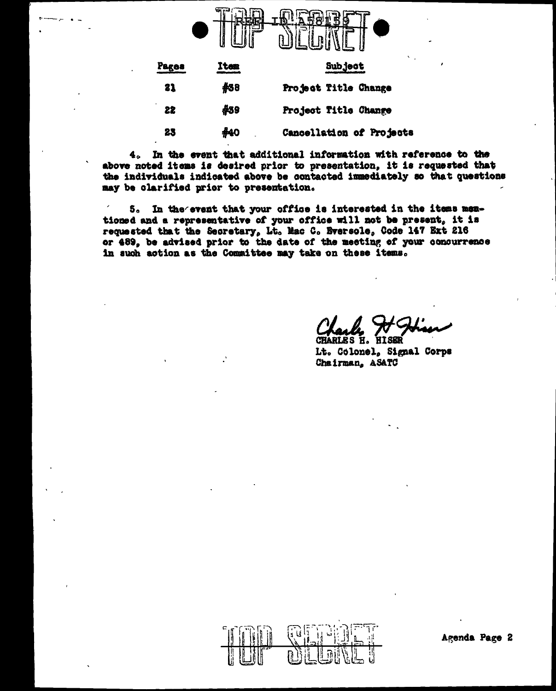

| Pages | Item | <b>Subject</b>           |  |
|-------|------|--------------------------|--|
| 21    | 438  | Project Title Change     |  |
| 22    | 439  | Project Title Change     |  |
| 23    | #40  | Cancellation of Projects |  |

4. In the event that additional information with reference to the above noted items is desired prior to presentation, it is requested that the individuals indicated above be contacted immediately so that questions may be clarified prior to presentation.

5. In the event that your office is interested in the items memtioned and a representative of your office will not be present, it is requested that the Secretary, Lt. Mac C. Bversole, Code 147 Ext 216 or 489, be advised prior to the date of the meeting of your concurrence in such action as the Committee may take on these items.

н. Lt. Colonel. Signal Corps Chairman, ASATC

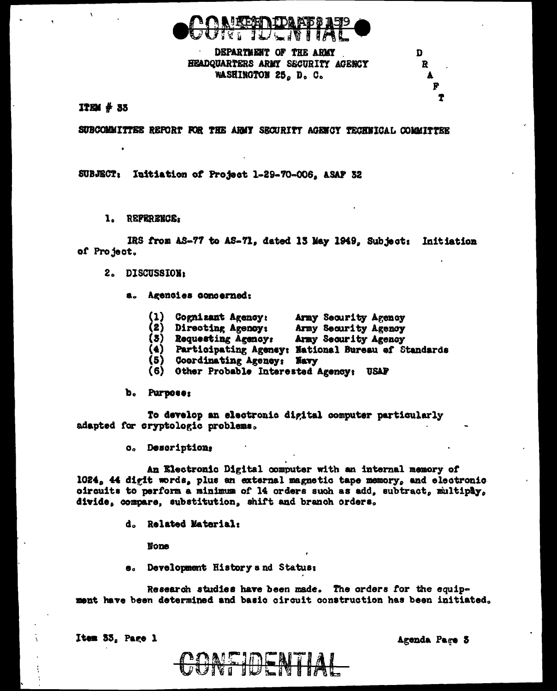

# DEPARTMENT OF THE ARMY HEADQUARTERS ARMY SECURITY AGENCY WASHINGTON 25, D. C.

SUBCOMMITTEE REPORT FOR THE ARMY SECURITY AGENCY TECHNICAL COMMITTEE

SUBJECT: Initiation of Project 1-29-70-006, ASAF 32

1. REPERENCE:

 $ITEM#35$ 

IRS from AS-77 to AS-71, dated 13 May 1949, Subject: Initiation of Project.

- 2. DISCUSSION:
	- a. Agencies concerned:
		- Army Security Agency  $(1)$ Cognizant Agency:
		- $\left( 2 \right)$  Directing Agency: Army Security Agency
		-
		- (4) Participating Agency: Army Security Agency<br>(5) Coordinating Agency: National Bureau of Standards<br>(5) Coordinating Agency. Way-
		-
		- (6) Other Probable Interested Agency: USAF

b. Purpose:

To develop an electronic digital computer particularly adapted for cryptologic problems.

o. Description;

An Electronic Digital computer with an internal memory of 1024, 44 digit words, plus an external magnetic tape memory, and electronic oircuits to perform a minimum of 14 orders such as add, subtract, multiply, divide, compare, substitution, shift and branch orders,

d. Related Material:

**None** 

e. Development History and Status:

Research studies have been made. The orders for the equipment have been determined and basic circuit construction has been initiated.

Item 33, Page 1

Agenda Page 3

D

R

Ť

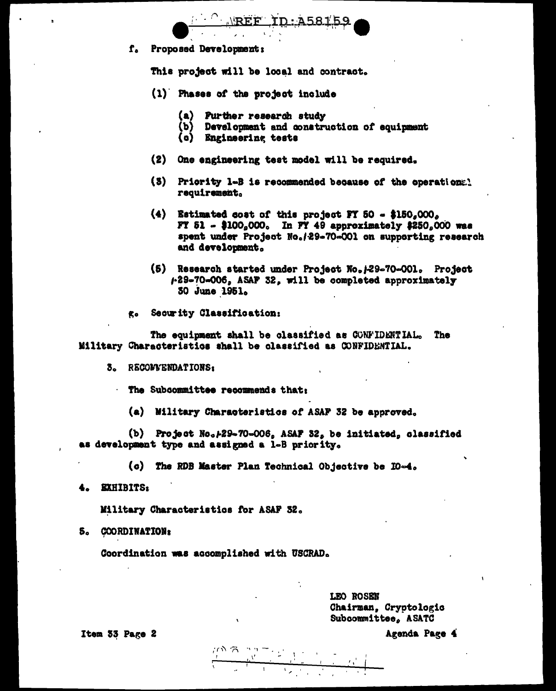f. Proposed Development:

This project will be local and contract.

REF ID: A58159

- (1) Phases of the project include
	- $(a)$ Purther research study
	- $(P)$ Development and construction of equipment
	- (c) Engineering tests
- $(2)$ One engineering test model will be required.
- (3) Priority 1-B is recommended because of the operations. requirement.
- $(4)$  Estimated cost of this project FY 50  $\sim$  \$150.000. FT 51 - \$100.000. In FY 49 approximately \$250.000 was spent under Project No./29-70-001 on supporting research and development.
- (5) Research started under Project No. 129-70-001. Project 4-29-70-006, ASAF 32, will be completed approximately 30 June 1951.
- g. Security Classification:

The equipment shall be classified as CONFIDENTIAL. The Military Characteristics shall be classified as CONFIDENTIAL.

3. RECOMMENDATIONS:

The Subcommittee recommends that:

(a) Military Characteristics of ASAF 32 be approved.

(b) Project No. 129-70-006, ASAF 32, be initiated, classified as development type and assigned a 1-B priority.

(c) The RDB Master Plan Technical Objective be IO-4.

4. **EXHIBITS:** 

Military Characteristics for ASAF 32.

5. COORDINATION:

Coordination was accomplished with USCRAD.

LEO ROSEN Chairman. Cryptologic Subcommittee, ASATC

Item 33 Page 2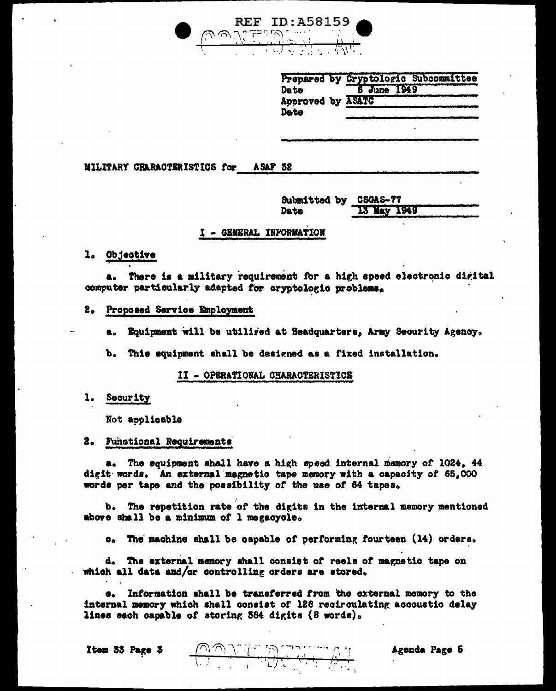

|                   |             | Prepared by Cryptologic Subcommittee |
|-------------------|-------------|--------------------------------------|
| Date              | 6 June 1949 |                                      |
| Approved by ASATC |             |                                      |
| Date              |             |                                      |

MILITARY CHARACTERISTICS for **ASAF 32** 

> Submitted by CSGAS-77 13 May 1949 Date

# I - GENERAL INFORMATION

l. Objective

There is a military requirement for a high speed electronic digital computer particularly adapted for cryptologic problems.

2. Proposed Service Employment

Equipment will be utiliged at Headquarters, Army Security Agency.  $\mathbf{a}_o$ 

b. I This equipment shall be designed as a fixed installation.

II - OPERATIONAL CHARACTERISTICS

# 1. Security

Not applicable

# 2. Functional Requirements

The equipment shall have a high speed internal memory of 1024, 44  $\mathbf{a}$ digit words. An external magnetic tape memory with a capacity of 65,000 words per tape and the possibility of the use of 64 tapes.

b. The repetition rate of the digits in the internal memory mentioned above shall be a minimum of 1 megacycle.

The machine shall be capable of performing fourteen (14) orders.  $\mathbf{c}_{\bullet}$ 

d. The external memory shall consist of reels of magnetic tape on which all data and/or controlling orders are stored.

Information shall be transferred from the external memory to the 6. internal memory which shall consist of 128 recirculating accoustic delay lines each capable of storing 384 digits (8 words).

 $\frac{1}{\sqrt{2\sqrt{2}}\sqrt{2\sqrt{2}}\left(\frac{1}{2}\right)}\frac{1}{\sqrt{2}}\frac{1}{\sqrt{2}}\frac{1}{\sqrt{2}}\frac{1}{\sqrt{2}}\frac{1}{\sqrt{2}}\frac{1}{\sqrt{2}}\frac{1}{\sqrt{2}}\frac{1}{\sqrt{2}}\frac{1}{\sqrt{2}}\frac{1}{\sqrt{2}}\frac{1}{\sqrt{2}}\frac{1}{\sqrt{2}}\frac{1}{\sqrt{2}}\frac{1}{\sqrt{2}}\frac{1}{\sqrt{2}}\frac{1}{\sqrt{2}}\frac{1}{\sqrt{2}}\frac{1}{\sqrt{2}}\frac{1}{\$ 

Item 33 Page 3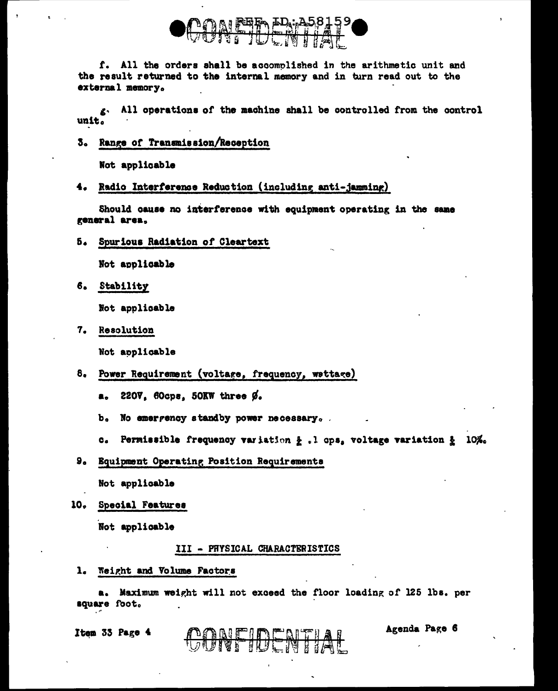

f. All the orders shall be accomplished in the arithmetic unit and the result returned to the internal memory and in turn read out to the external memory.

g. All operations of the machine shall be controlled from the control unit.

3. Range of Transmission/Reception

Not applicable

Radio Interference Reduction (including anti-jamming) 4.

Should cause no interference with equipment operating in the same general area.

5. Spurious Radiation of Cleartext

Not applicable

6. Stability

Not applicable

7. Resolution

Not applicable

- 8. Power Requirement (voltage, frequency, wettage)
	- a. 220V. 60cps, 50KW three Ø.
	- b. No emergency standby power necessary.
	- c. Permissible frequency variation & .l ops, voltage variation & 10%.
- 9. Equipment Operating Position Requirements

Not applicable

10. Special Features

Not applicable

#### III - PHYSICAL CHARACTERISTICS

1. Weight and Volume Factors

Maximum weight will not exceed the floor loading of 125 lbs. per a. square foot.

**DONE IDENTIAL** 

Item 33 Page 4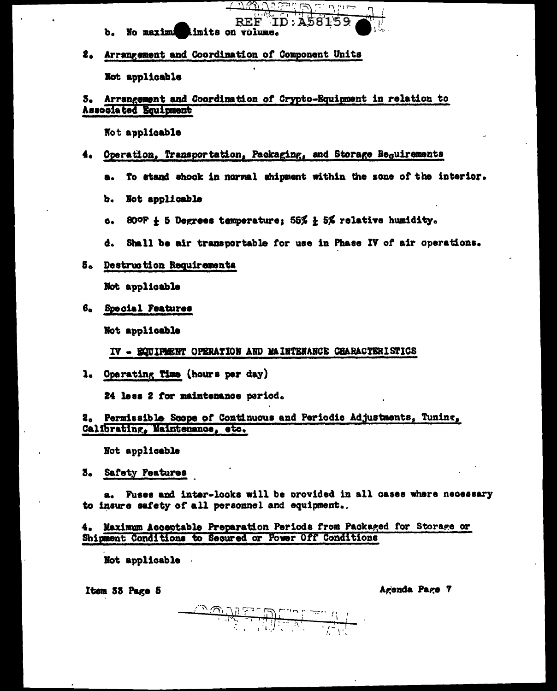- REF ID:A5 b. No maximum limits on volume.
- 2. Arrangement and Coordination of Component Units

Not applicable

# 5. Arrangement and Coordination of Crypto-Equipment in relation to Associated Equipment

Not applicable

# 4. Operation, Transportation, Packaging, and Storage Requirements

To stand shook in normal shipment within the sone of the interior. a.

- Not applicable ъ.
- 80°F  $\frac{1}{k}$  5 Degrees temperature; 55%  $\frac{1}{k}$  5% relative humidity.  $\bullet$ .
- Shall be air transportable for use in Phase IV of air operations. d.
- 5. Destruction Requirements

Not applicable

6. Special Features

Not applicable

IV - EQUIPMENT OPERATION AND MAINTENANCE CHARACTERISTICS

1. Operating Time (hours per day)

24 less 2 for maintenance period.

# 2. Permissible Scope of Continuous and Periodic Adjustments, Tuning, Calibrating, Maintenance, etc.

Not applicable

3. Safety Features

a. Fuses and inter-locks will be provided in all cases where necessary to insure safety of all personnel and equipment..

4. Maximum Acceptable Preparation Periods from Packaged for Storage or Shipment Conditions to Secured or Power Off Conditions

Not applicable

Item 33 Page 5

٢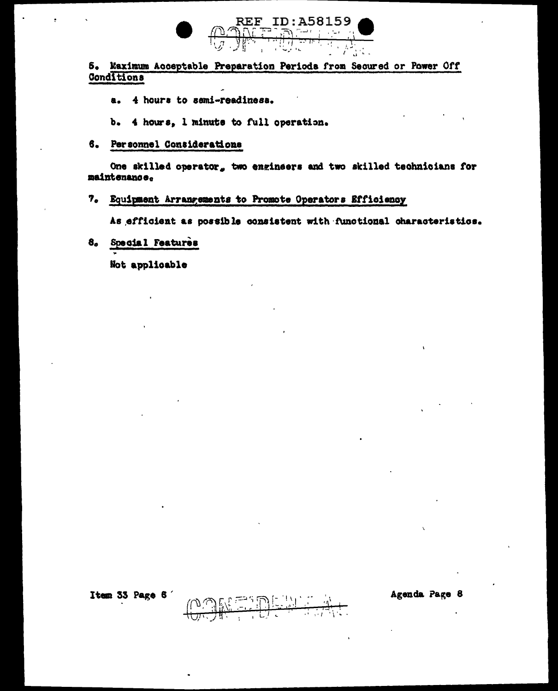

5. Maximum Acceptable Preparation Periods from Secured or Power Off Conditions

- a. 4 hours to semi-readiness.
- b. 4 hours, 1 minute to full operation.
- 6. Personnel Considerations

One skilled operator, two engineers and two skilled technicians for maintenance.

### 7. Equipment Arrangements to Promote Operators Efficiency

As efficient as possible consistent with functional characteristics.

Special Features  $8<sub>a</sub>$ 

Not applicable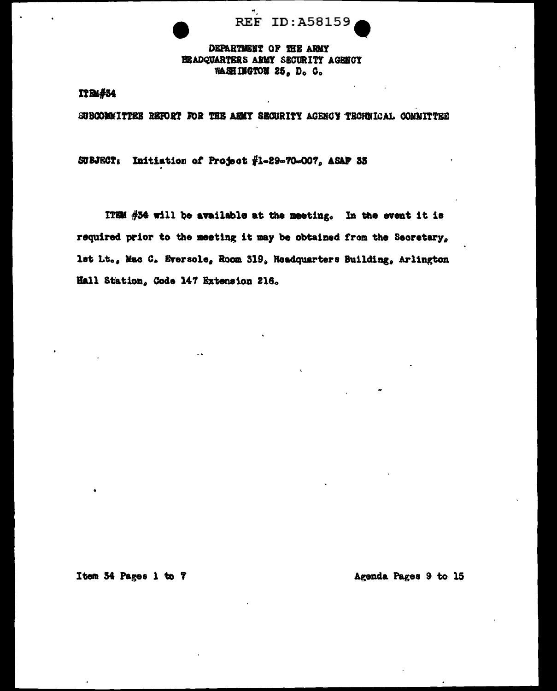**REF ID: A58159** 

# DEPARTMENT OF THE ARMY BEADQUARTERS ARMY SECURITY AGENCY WASHINGTON 25, D. C.

# **ITB4#54**

SUBCOMMITTEE REPORT FOR THE ARMY SECURITY AGENCY TECHNICAL COMMITTEE

SUBJECT: Initiation of Project #1-29-70-007, ASAP 33

ITEM  $#34$  will be available at the meeting. In the event it is required prior to the meeting it may be obtained from the Secretary. lst Lt., Mac C. Eversole, Room 319, Headquarters Building, Arlington Hall Station, Code 147 Extension 216.

Item 34 Pages 1 to 7

Agenda Pages 9 to 15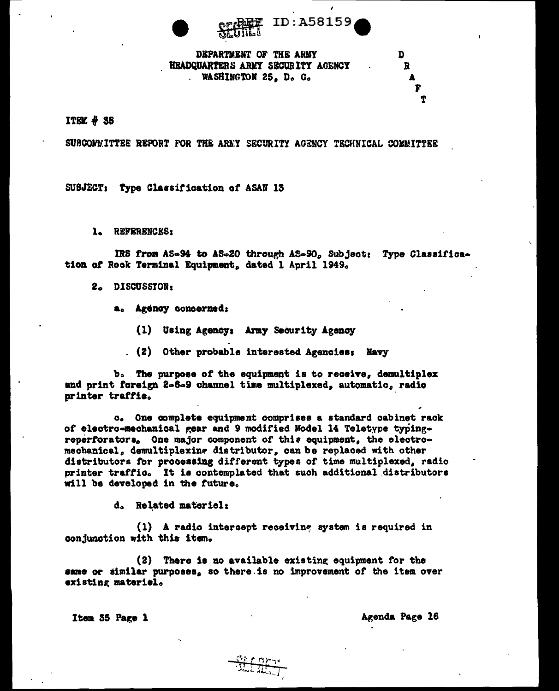



DEPARTMENT OF THE ARMY **HEADQUARTERS ARMY SECURITY AGENCY** WASHINGTON 25, D. C.

 $\mathbf{R}$ 

T

D

### $ITBX + 35$

SUBCOMMITTEE REPORT FOR THE ARMY SECURITY AGENCY TECHNICAL COMMITTEE

SUBJECT: Type Classification of ASAN 13

1. REFERENCES:

IRS from AS-94 to AS-20 through AS-90, Subject: Type Classification of Rock Terminal Equipment, dated 1 April 1949.

- 2. DISCUSSION:
	- a. Agency concerned:
		- (1) Using Agency: Army Security Agency
		- . (2) Other probable interested Agencies; Navy

b. The purpose of the equipment is to receive, demultiplex and print foreign 2-6-9 channel time multiplexed, automatic, radio printer traffic.

c. One complete equipment comprises a standard cabinet rack of electro-mechanical gear and 9 modified Model 14 Teletype typingreperforators. One major component of this equipment, the electromechanical, demultiplexing distributor, can be replaced with other distributors for processing different types of time multiplexed, radio printer traffic. It is contemplated that such additional distributors will be developed in the future.

d. Related materiel:

(1) A radio intercept receiving system is required in conjunction with this item.

(2) There is no available existing equipment for the same or similar purposes, so there is no improvement of the item over existing materiel.

Item 35 Page 1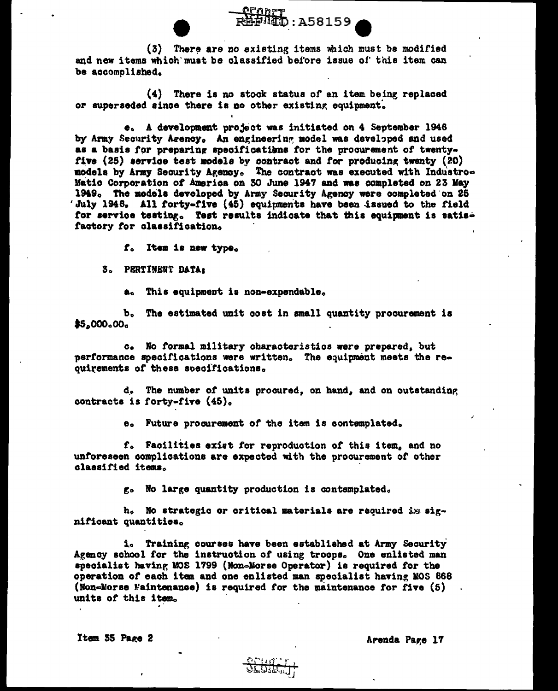(3) There are no existing items which must be modified and new items which must be classified before issue of this item can be accomplished.

 $\overline{5}$ : A58159

(4) There is no stock status of an item being replaced or superseded since there is no other existing equipment.

e. A development project was initiated on 4 September 1946 by Army Security Agency. An engineering model was developed and used as a basis for preparing specifications for the procurement of twentyfive (25) service test models by contract and for producing twenty (20) models by Army Security Agency. The contract was executed with Industro-Matic Corporation of America on 30 June 1947 and was completed on 23 May 1949. The models developed by Army Security Agency were completed on 25 'July 1948, All forty-five (45) equipments have been issued to the field for service testing. Test results indicate that this equipment is satisfactory for classification.

f. Item is new type.

3. PERTINENT DATA:

a. This equipment is non-expendable.

b. The estimated unit cost in small quantity procurement is  $$5,000,00$ 

c. No formal military characteristics were prepared, but performance specifications were written. The equipment meets the requirements of these specifications.

d. The number of units procured, on hand, and on outstanding contracts is forty-five (45).

e. Future procurement of the item is contemplated.

f. Facilities exist for reproduction of this item, and no unforeseen complications are expected with the procurement of other classified items.

g. No large quantity production is contemplated.

h. No strategic or critical materials are required is significant quantities.

i. Training courses have been established at Army Security Agency school for the instruction of using troops. One enlisted man specialist having MOS 1799 (Non-Morse Operator) is required for the operation of each item and one enlisted man specialist having MOS 868 (Non-Morse Maintenance) is required for the maintenance for five (5) units of this item.

Item 35 Page 2

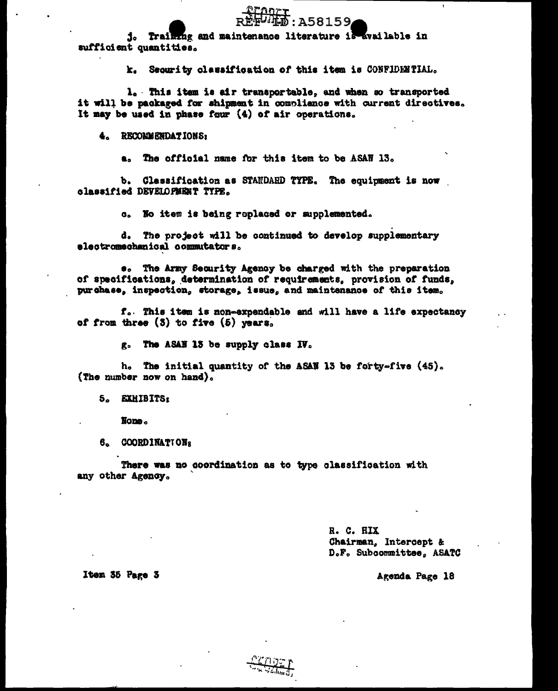: A58159, j. Training and maintenance literature is available in sufficient quantities.

k. Security classification of this item is CONFIDENTIAL.

1. This item is air transportable, and when so transported it will be packaged for shipment in compliance with current directives. It may be used in phase four (4) of air operations.

4. RECOMMENDATIONS:

The official name for this item to be ASAN 13. а.

b. Classification as STANDARD TYPE. The equipment is now classified DEVELOPMENT TYPE.

c. No item is being replaced or supplemented.

d. The project will be continued to develop supplementary electromechanical commutators.

 $\bullet$ . The Army Security Agency be charged with the preparation of specifications, determination of requirements, provision of funds, purchase, inspection, storage, issue, and maintenance of this item.

f. This item is non-expendable and will have a life expectancy of from three  $(3)$  to five  $(5)$  years.

g. The ASAN 13 be supply class IV.

h. The initial quantity of the ASAN 13 be forty-five (45). (The number now on hand).

5. EXHIBITS:

None.

6. COORDINATIONS

There was no coordination as to type classification with any other Agency.

> R. C. HIX Chairman, Intercept & D.F. Subcommittee, ASATC

Item 35 Page 3

Agenda Page 18

 $\ddot{\phantom{a}}$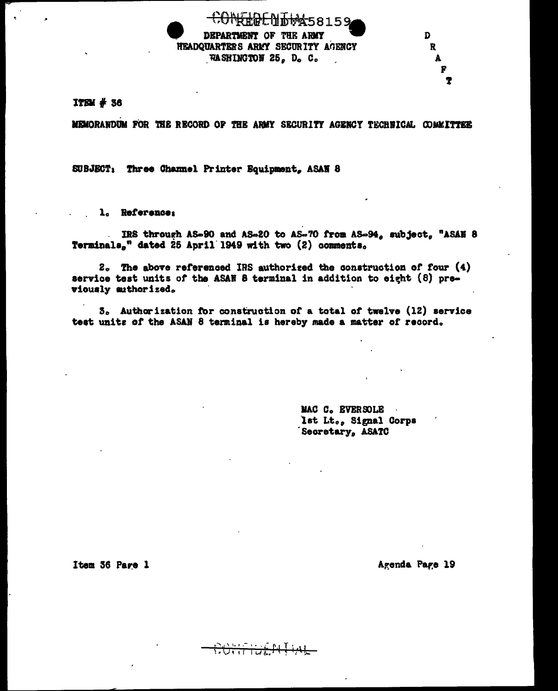**M458159** DEPARTMENT OF THE ARMY HEADQUARTERS ARMY SECURITY AGENCY WASHINGTON 25, D. C.

MEMORANDUM FOR THE RECORD OF THE ARMY SECURITY AGENCY TECHNICAL COMMITTEE

SUBJECT: Three Channel Printer Equipment, ASAN 8

l. Reference:

IRS through AS-90 and AS-20 to AS-70 from AS-94, subject, "ASAN 8 Terminals," dated 25 April 1949 with two (2) comments.

2. The above referenced IRS authorized the construction of four (4) service test units of the ASAN 8 terminal in addition to eight (8) previously suthorized.

3. Authorization for construction of a total of twelve (12) service test units of the ASAN 8 terminal is hereby made a matter of record.

ᡃ᠍ᡣᠦᠮ᠇ᡏᡉᢆ

MAC C. EVERSOLE Ist Lt., Signal Corps Secretary, ASATC

Item 36 Page 1

Agenda Page 19

D.

R

r Ť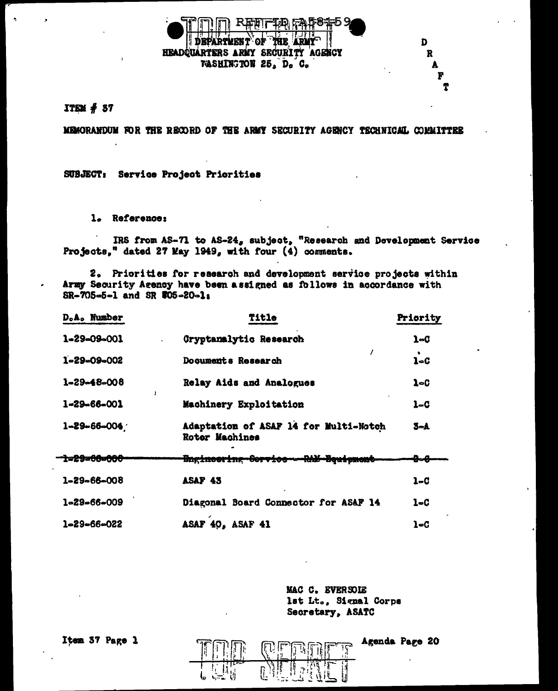

#### $ITEM$  # 37

MEMORANDUM FOR THE RECORD OF THE ARMY SECURITY AGENCY TECHNICAL COMMITTEE

SUBJECT: Service Project Priorities

l. Reference:

IRS from AS-71 to AS-24, subject, "Research and Development Service Projects," dated 27 May 1949, with four (4) comments.

2. Priorities for research and development service projects within Army Security Agency have been assigned as follows in accordance with  $SR-705-5-1$  and SR  $705-20-1$ s

| D.A. Number         | Title                                                          | Priority |
|---------------------|----------------------------------------------------------------|----------|
| 1-29-09-001         | <b>Cryptanalytic Research</b>                                  | 1-G      |
| 1-29-09-002         | Documents Research                                             | $1 - C$  |
| 1-29-48-008         | Relay Aids and Analogues                                       | 1~C      |
| 1-29-66-001         | Machinery Exploitation                                         | $1 - C$  |
| $1 - 29 - 66 - 004$ | Adaptation of ASAF 14 for Multi-Notch<br><b>Rotor Machines</b> | 3-A      |
| ta29a66a666         | <del>Bnginesring Service - RhM-Bquigment</del>                 | ₽⊶₽      |
| 1-29-66-008         | ASAF 43                                                        | 1–C      |
| $1 - 29 - 66 - 009$ | Diagonal Board Connector for ASAF 14                           | $1 - C$  |
| $1 - 29 - 66 - 022$ | ASAF 40, ASAF 41                                               | 1-C      |

MAC C. EVERSOLE lst Lt., Signal Corps Secretary, ASATC

Agenda Page 20

D

R

Item 37 Page 1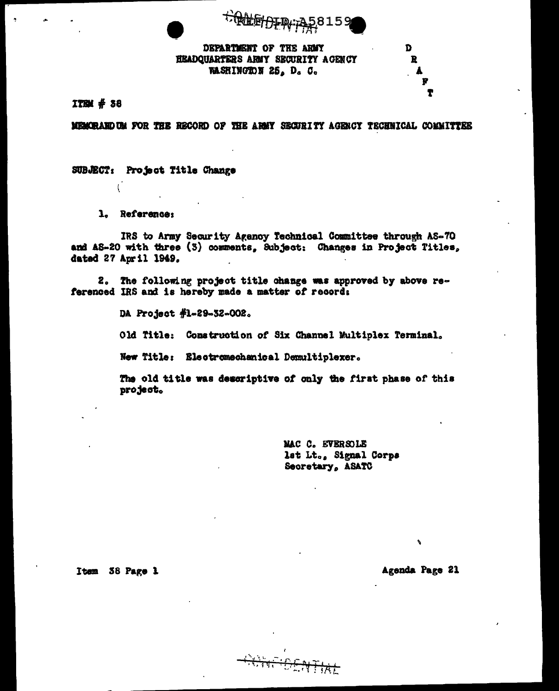

DEPARTMENT OF THE ARMY HEADQUARTERS ARMY SECURITY AGENCY WASHINGTON 25. D. C.

ITEM # 38

MEMORAND UM FOR THE RECORD OF THE ARMY SECURITY AGENCY TECHNICAL COMMITTEE

SUBJECT: Project Title Change

1. Reference:

IRS to Army Security Agency Technical Committee through AS-70 and AS-20 with three (3) comments, Subject: Changes in Project Titles, dated 27 April 1949.

2. The following project title change was approved by above referenced IRS and is hereby made a matter of record:

> DA Project #1-29-32-002. Old Title: Construction of Six Channel Multiplex Terminal. New Title: Electromechanical Demultiplexer.

The old title was descriptive of only the first phase of this project.

> MAC C. EVERSOLE lst Lt., Signal Corps Secretary, ASATC

Item 38 Page 1

Agenda Page 21

D

 $\mathbf{R}$ 

Ť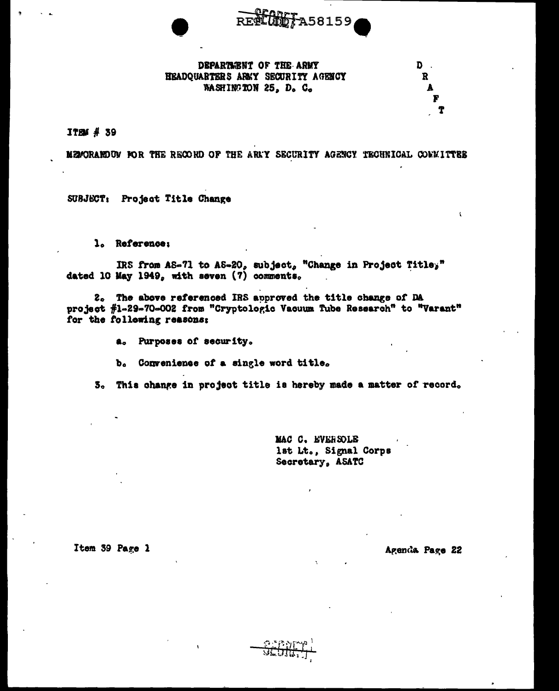

### DEPARTMENT OF THE ARMY HEADQUARTERS ARKY SECURITY AGENCY WASHINGTON 25, D. C.

 $\mathbf{t}$ 

**ITEM # 39** 

MEMORARDUM FOR THE RECORD OF THE ARMY SECURITY AGENCY TECHNICAL COMMITTES

SUBJECT: Project Title Change

1. Reference:

IRS from AS-71 to AS-20, subject, "Change in Project Titley" dated 10 May 1949, with seven (7) comments.

2. The above referenced IRS approved the title change of DA project #1-29-70-002 from "Cryptologic Vacuum Tube Research" to "Varant" for the following reasons:

a. Purposes of security.

b. Convenience of a single word title.

3. This change in project title is hereby made a matter of record.

MAC C. EVERSOLE lst Lt., Signal Corps Secretary, ASATC

Item 39 Page 1